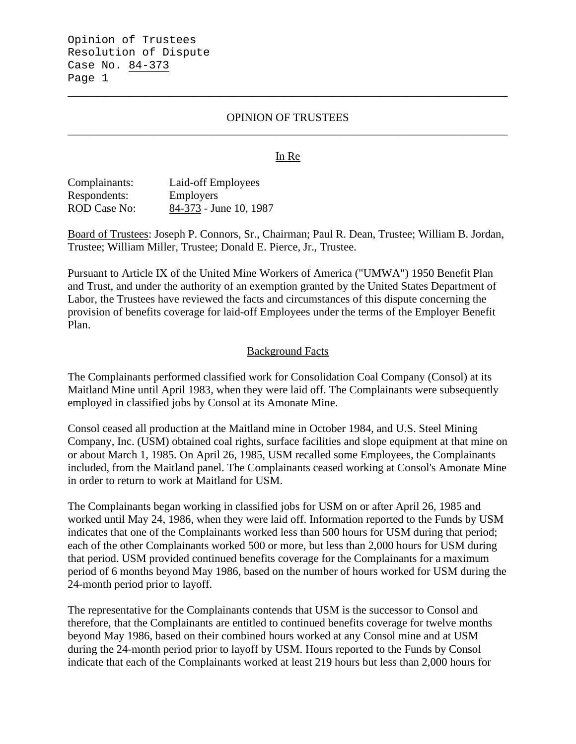### OPINION OF TRUSTEES \_\_\_\_\_\_\_\_\_\_\_\_\_\_\_\_\_\_\_\_\_\_\_\_\_\_\_\_\_\_\_\_\_\_\_\_\_\_\_\_\_\_\_\_\_\_\_\_\_\_\_\_\_\_\_\_\_\_\_\_\_\_\_\_\_\_\_\_\_\_\_\_\_\_\_\_\_\_

\_\_\_\_\_\_\_\_\_\_\_\_\_\_\_\_\_\_\_\_\_\_\_\_\_\_\_\_\_\_\_\_\_\_\_\_\_\_\_\_\_\_\_\_\_\_\_\_\_\_\_\_\_\_\_\_\_\_\_\_\_\_\_\_\_\_\_\_\_\_\_\_\_\_\_\_\_\_

#### In Re

| Complainants: | Laid-off Employees     |
|---------------|------------------------|
| Respondents:  | <b>Employers</b>       |
| ROD Case No:  | 84-373 - June 10, 1987 |

Board of Trustees: Joseph P. Connors, Sr., Chairman; Paul R. Dean, Trustee; William B. Jordan, Trustee; William Miller, Trustee; Donald E. Pierce, Jr., Trustee.

Pursuant to Article IX of the United Mine Workers of America ("UMWA") 1950 Benefit Plan and Trust, and under the authority of an exemption granted by the United States Department of Labor, the Trustees have reviewed the facts and circumstances of this dispute concerning the provision of benefits coverage for laid-off Employees under the terms of the Employer Benefit Plan.

#### Background Facts

The Complainants performed classified work for Consolidation Coal Company (Consol) at its Maitland Mine until April 1983, when they were laid off. The Complainants were subsequently employed in classified jobs by Consol at its Amonate Mine.

Consol ceased all production at the Maitland mine in October 1984, and U.S. Steel Mining Company, Inc. (USM) obtained coal rights, surface facilities and slope equipment at that mine on or about March 1, 1985. On April 26, 1985, USM recalled some Employees, the Complainants included, from the Maitland panel. The Complainants ceased working at Consol's Amonate Mine in order to return to work at Maitland for USM.

The Complainants began working in classified jobs for USM on or after April 26, 1985 and worked until May 24, 1986, when they were laid off. Information reported to the Funds by USM indicates that one of the Complainants worked less than 500 hours for USM during that period; each of the other Complainants worked 500 or more, but less than 2,000 hours for USM during that period. USM provided continued benefits coverage for the Complainants for a maximum period of 6 months beyond May 1986, based on the number of hours worked for USM during the 24-month period prior to layoff.

The representative for the Complainants contends that USM is the successor to Consol and therefore, that the Complainants are entitled to continued benefits coverage for twelve months beyond May 1986, based on their combined hours worked at any Consol mine and at USM during the 24-month period prior to layoff by USM. Hours reported to the Funds by Consol indicate that each of the Complainants worked at least 219 hours but less than 2,000 hours for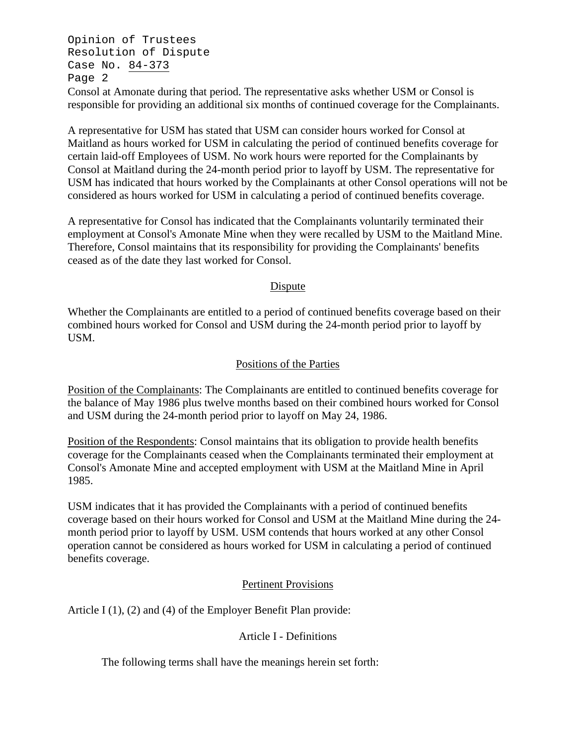Opinion of Trustees Resolution of Dispute Case No. 84-373 Page 2

Consol at Amonate during that period. The representative asks whether USM or Consol is responsible for providing an additional six months of continued coverage for the Complainants.

A representative for USM has stated that USM can consider hours worked for Consol at Maitland as hours worked for USM in calculating the period of continued benefits coverage for certain laid-off Employees of USM. No work hours were reported for the Complainants by Consol at Maitland during the 24-month period prior to layoff by USM. The representative for USM has indicated that hours worked by the Complainants at other Consol operations will not be considered as hours worked for USM in calculating a period of continued benefits coverage.

A representative for Consol has indicated that the Complainants voluntarily terminated their employment at Consol's Amonate Mine when they were recalled by USM to the Maitland Mine. Therefore, Consol maintains that its responsibility for providing the Complainants' benefits ceased as of the date they last worked for Consol.

## Dispute

Whether the Complainants are entitled to a period of continued benefits coverage based on their combined hours worked for Consol and USM during the 24-month period prior to layoff by USM.

# Positions of the Parties

Position of the Complainants: The Complainants are entitled to continued benefits coverage for the balance of May 1986 plus twelve months based on their combined hours worked for Consol and USM during the 24-month period prior to layoff on May 24, 1986.

Position of the Respondents: Consol maintains that its obligation to provide health benefits coverage for the Complainants ceased when the Complainants terminated their employment at Consol's Amonate Mine and accepted employment with USM at the Maitland Mine in April 1985.

USM indicates that it has provided the Complainants with a period of continued benefits coverage based on their hours worked for Consol and USM at the Maitland Mine during the 24 month period prior to layoff by USM. USM contends that hours worked at any other Consol operation cannot be considered as hours worked for USM in calculating a period of continued benefits coverage.

# Pertinent Provisions

Article I (1), (2) and (4) of the Employer Benefit Plan provide:

# Article I - Definitions

The following terms shall have the meanings herein set forth: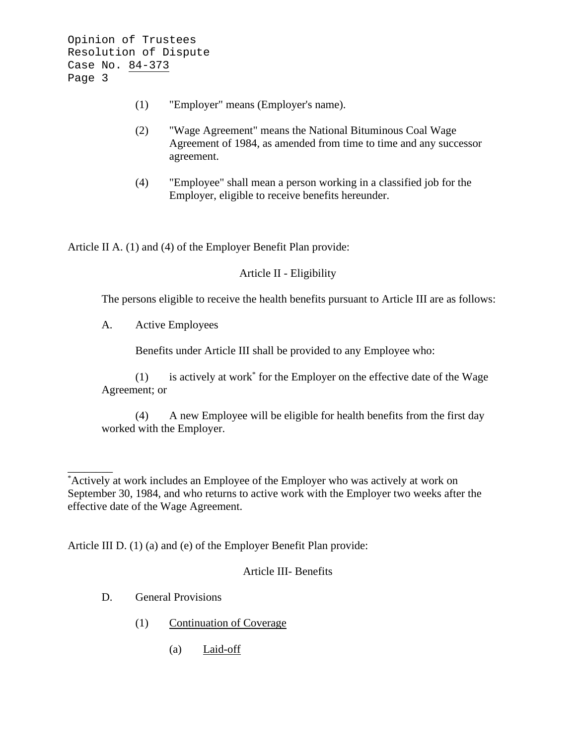- (1) "Employer" means (Employer's name).
- (2) "Wage Agreement" means the National Bituminous Coal Wage Agreement of 1984, as amended from time to time and any successor agreement.
- (4) "Employee" shall mean a person working in a classified job for the Employer, eligible to receive benefits hereunder.

Article II A. (1) and (4) of the Employer Benefit Plan provide:

Article II - Eligibility

The persons eligible to receive the health benefits pursuant to Article III are as follows:

A. Active Employees

Benefits under Article III shall be provided to any Employee who:

(1) is actively at work\* for the Employer on the effective date of the Wage Agreement; or

(4) A new Employee will be eligible for health benefits from the first day worked with the Employer.

Article III D. (1) (a) and (e) of the Employer Benefit Plan provide:

Article III- Benefits

D. General Provisions

\_\_\_\_\_\_\_\_

- (1) Continuation of Coverage
	- (a) Laid-off

<sup>\*</sup> Actively at work includes an Employee of the Employer who was actively at work on September 30, 1984, and who returns to active work with the Employer two weeks after the effective date of the Wage Agreement.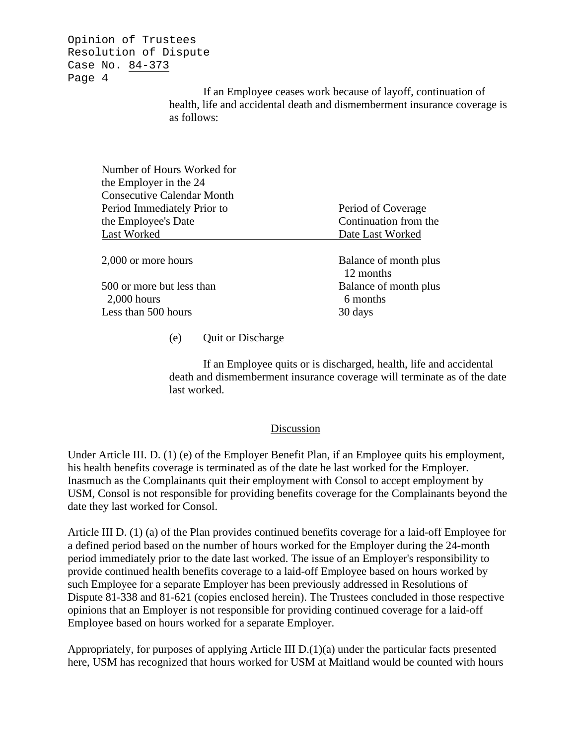Opinion of Trustees Resolution of Dispute Case No. 84-373 Page 4

> If an Employee ceases work because of layoff, continuation of health, life and accidental death and dismemberment insurance coverage is as follows:

| Number of Hours Worked for<br>the Employer in the 24 |                                    |
|------------------------------------------------------|------------------------------------|
| <b>Consecutive Calendar Month</b>                    |                                    |
| Period Immediately Prior to                          | Period of Coverage                 |
| the Employee's Date                                  | Continuation from the              |
| Last Worked                                          | Date Last Worked                   |
| 2,000 or more hours                                  | Balance of month plus<br>12 months |
| 500 or more but less than<br>$2,000$ hours           | Balance of month plus<br>6 months  |
| Less than 500 hours                                  | 30 days                            |
|                                                      |                                    |

## (e) Quit or Discharge

If an Employee quits or is discharged, health, life and accidental death and dismemberment insurance coverage will terminate as of the date last worked.

#### Discussion

Under Article III. D. (1) (e) of the Employer Benefit Plan, if an Employee quits his employment, his health benefits coverage is terminated as of the date he last worked for the Employer. Inasmuch as the Complainants quit their employment with Consol to accept employment by USM, Consol is not responsible for providing benefits coverage for the Complainants beyond the date they last worked for Consol.

Article III D. (1) (a) of the Plan provides continued benefits coverage for a laid-off Employee for a defined period based on the number of hours worked for the Employer during the 24-month period immediately prior to the date last worked. The issue of an Employer's responsibility to provide continued health benefits coverage to a laid-off Employee based on hours worked by such Employee for a separate Employer has been previously addressed in Resolutions of Dispute 81-338 and 81-621 (copies enclosed herein). The Trustees concluded in those respective opinions that an Employer is not responsible for providing continued coverage for a laid-off Employee based on hours worked for a separate Employer.

Appropriately, for purposes of applying Article III  $D(1)(a)$  under the particular facts presented here, USM has recognized that hours worked for USM at Maitland would be counted with hours